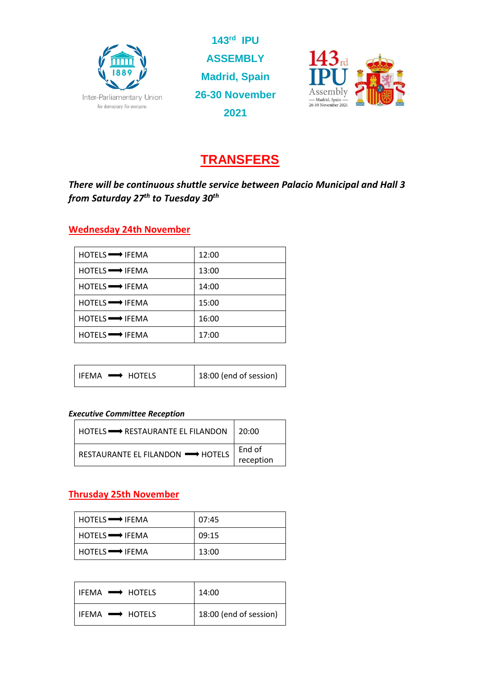

**143rd IPU ASSEMBLY Madrid, Spain 26-30 November 2021**



# **TRANSFERS**

*There will be continuous shuttle service between Palacio Municipal and Hall 3 from Saturday 27th to Tuesday 30th*

### **Wednesday 24th November**

| HOTELS <b>WALE</b> IFEMA       | 12:00 |
|--------------------------------|-------|
| HOTELS <b>WATER</b> IFEMA      | 13:00 |
| $HOTELS \longrightarrow IFEMA$ | 14:00 |
| $HOTELS \longrightarrow IFEMA$ | 15:00 |
| HOTELS <b>WAS</b> IFEMA        | 16:00 |
| HOTELS <b>WAS</b> IFEMA        | 17:00 |

| $l$ ifema $\longrightarrow$ hotels | 18:00 (end of session) |
|------------------------------------|------------------------|
|------------------------------------|------------------------|

#### *Executive Committee Reception*

| HOTELS $\longrightarrow$ RESTAURANTE EL FILANDON   20:00 |           |
|----------------------------------------------------------|-----------|
| RESTAURANTE EL FILANDON <b>-</b> HOTELS                  | End of    |
|                                                          | reception |

### **Thrusday 25th November**

| $HOTELS \longrightarrow IFEMA$ | 07:45 |
|--------------------------------|-------|
| $HOTELS \longrightarrow IFEMA$ | 09:15 |
| $HOTELS \longrightarrow IFEMA$ | 13:00 |

| $l$ ifema $\longrightarrow$ hotels | 14:00                  |
|------------------------------------|------------------------|
| IFEMA <b>- HOTELS</b>              | 18:00 (end of session) |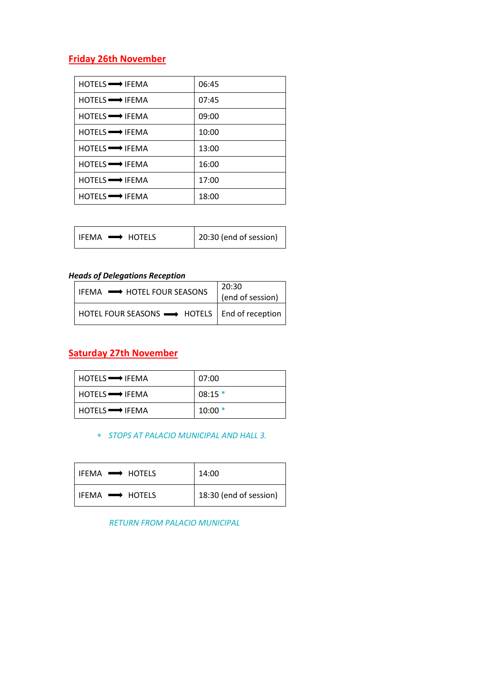## **Friday 26th November**

| $HOTELS \longrightarrow IFEMA$ | 06:45 |
|--------------------------------|-------|
| $HOTELS \longrightarrow IFEMA$ | 07:45 |
| $HOTELS \longrightarrow IFEMA$ | 09:00 |
| $HOTELS \longrightarrow IFEMA$ | 10:00 |
| $HOTELS \longrightarrow IFEMA$ | 13:00 |
| $HOTELS \longrightarrow IFEMA$ | 16:00 |
| $HOTELS \longrightarrow IFEMA$ | 17:00 |
| $HOTELS \longrightarrow IFEMA$ | 18:00 |

| IFEMA $\rightarrow$ HOTELS | 20:30 (end of session) |
|----------------------------|------------------------|
|----------------------------|------------------------|

#### *Heads of Delegations Reception*

| I IFEMA $\rightarrow$ HOTEL FOUR SEASONS                             | 20:30<br>(end of session) |
|----------------------------------------------------------------------|---------------------------|
| $ $ HOTEL FOUR SEASONS $\longrightarrow$ HOTELS $ $ End of reception |                           |

### **Saturday 27th November**

| $HOTELS \longrightarrow IFEMA$ | 07:00    |
|--------------------------------|----------|
|                                | $08:15*$ |
| $HOTELS \longrightarrow IFEMA$ | $10:00*$ |

*STOPS AT PALACIO MUNICIPAL AND HALL 3.*

| $l$ ifema $\longrightarrow$ hotels | 14:00                  |
|------------------------------------|------------------------|
| $I$ IFFMA $\longrightarrow$ HOTFLS | 18:30 (end of session) |

 *RETURN FROM PALACIO MUNICIPAL*